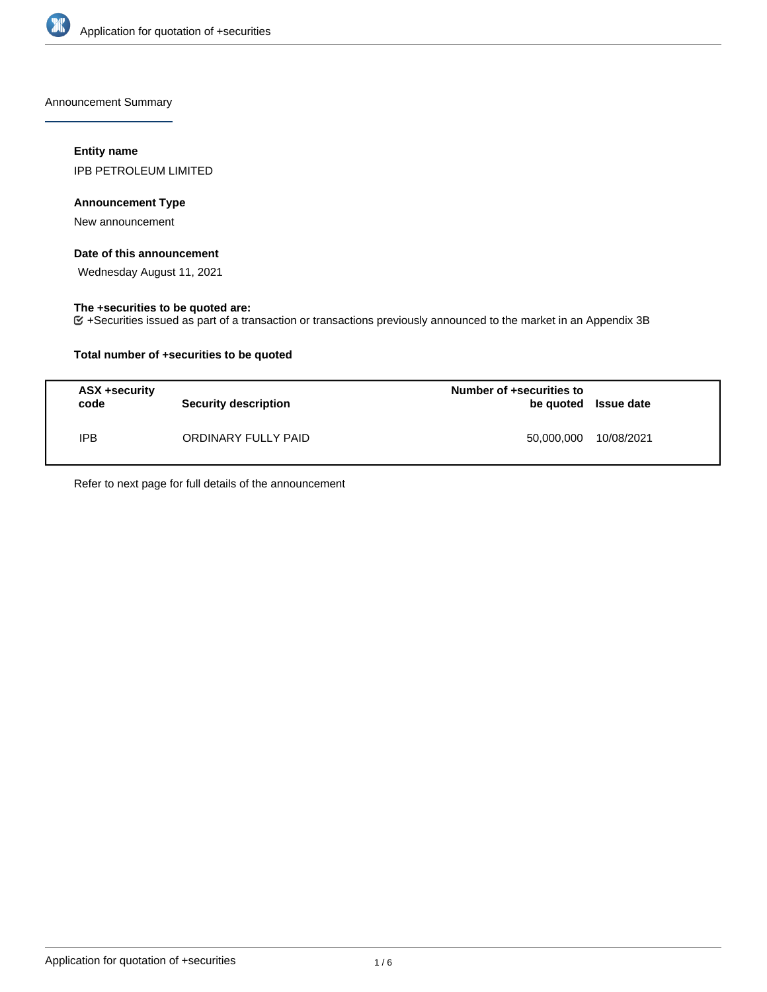

Announcement Summary

## **Entity name**

IPB PETROLEUM LIMITED

## **Announcement Type**

New announcement

### **Date of this announcement**

Wednesday August 11, 2021

## **The +securities to be quoted are:**

+Securities issued as part of a transaction or transactions previously announced to the market in an Appendix 3B

## **Total number of +securities to be quoted**

| ASX +security<br>code | <b>Security description</b> | Number of +securities to<br>be quoted Issue date |            |
|-----------------------|-----------------------------|--------------------------------------------------|------------|
| <b>IPB</b>            | ORDINARY FULLY PAID         | 50.000.000                                       | 10/08/2021 |

Refer to next page for full details of the announcement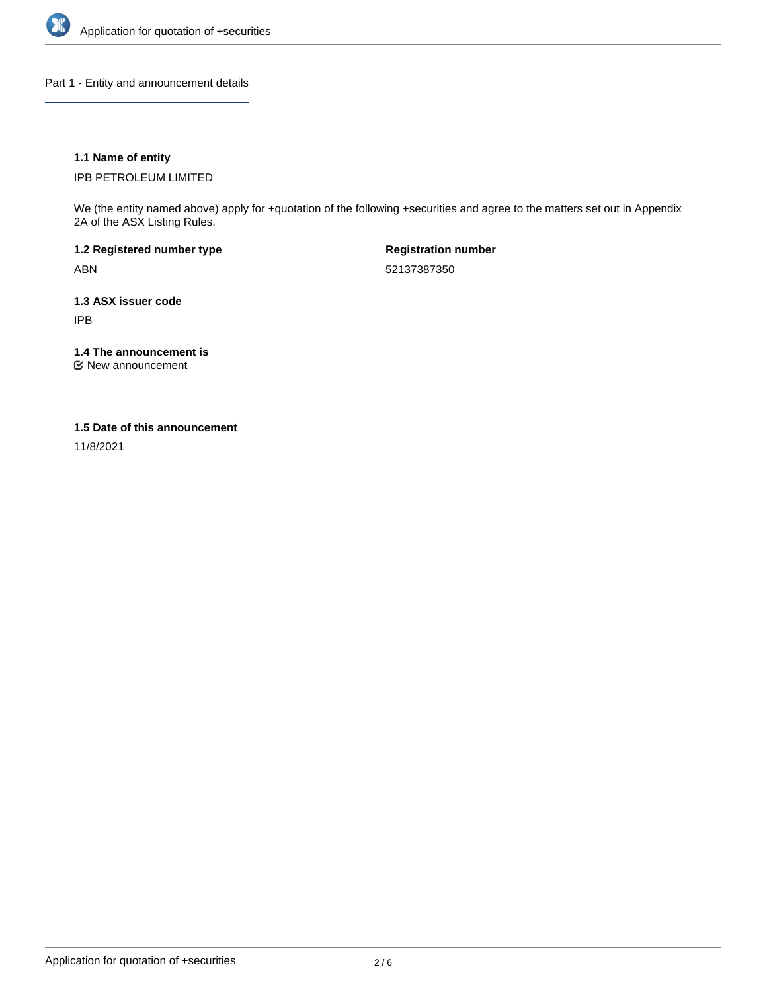

Part 1 - Entity and announcement details

## **1.1 Name of entity**

IPB PETROLEUM LIMITED

We (the entity named above) apply for +quotation of the following +securities and agree to the matters set out in Appendix 2A of the ASX Listing Rules.

**1.2 Registered number type** ABN

**Registration number** 52137387350

**1.3 ASX issuer code** IPB

**1.4 The announcement is**

New announcement

#### **1.5 Date of this announcement**

11/8/2021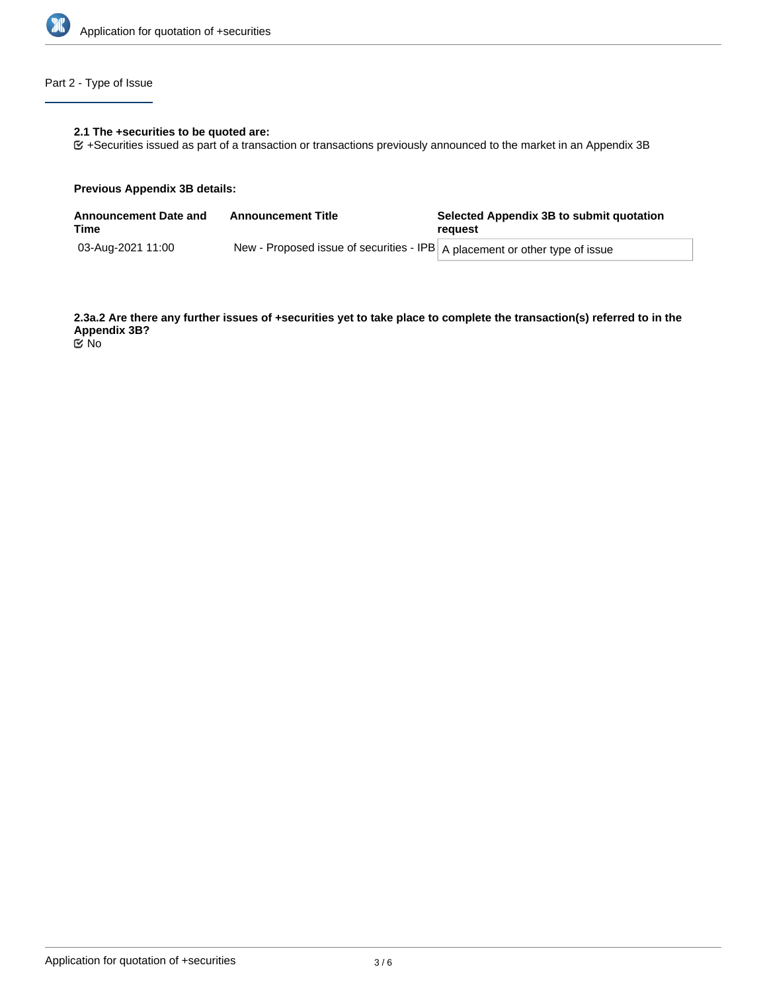

# Part 2 - Type of Issue

## **2.1 The +securities to be quoted are:**

+Securities issued as part of a transaction or transactions previously announced to the market in an Appendix 3B

#### **Previous Appendix 3B details:**

| <b>Announcement Date and</b><br>Time | <b>Announcement Title</b>                                                     | Selected Appendix 3B to submit quotation<br>reauest |  |
|--------------------------------------|-------------------------------------------------------------------------------|-----------------------------------------------------|--|
| 03-Aug-2021 11:00                    | New - Proposed issue of securities - IPB   A placement or other type of issue |                                                     |  |

**2.3a.2 Are there any further issues of +securities yet to take place to complete the transaction(s) referred to in the Appendix 3B?**

No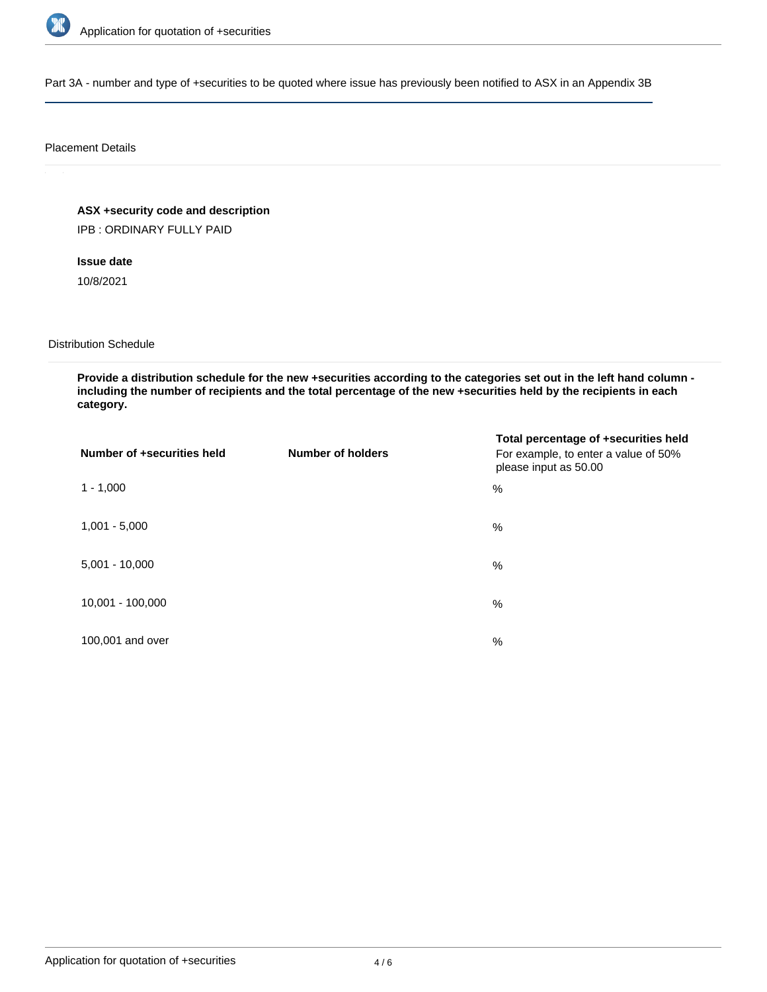

Part 3A - number and type of +securities to be quoted where issue has previously been notified to ASX in an Appendix 3B

#### Placement Details

**ASX +security code and description**

IPB : ORDINARY FULLY PAID

**Issue date**

10/8/2021

Distribution Schedule

**Provide a distribution schedule for the new +securities according to the categories set out in the left hand column including the number of recipients and the total percentage of the new +securities held by the recipients in each category.**

| Number of +securities held | <b>Number of holders</b> | Total percentage of +securities held<br>For example, to enter a value of 50%<br>please input as 50.00 |
|----------------------------|--------------------------|-------------------------------------------------------------------------------------------------------|
| $1 - 1,000$                |                          | %                                                                                                     |
| $1,001 - 5,000$            |                          | $\%$                                                                                                  |
| $5,001 - 10,000$           |                          | %                                                                                                     |
| 10,001 - 100,000           |                          | $\frac{0}{0}$                                                                                         |
| 100,001 and over           |                          | $\%$                                                                                                  |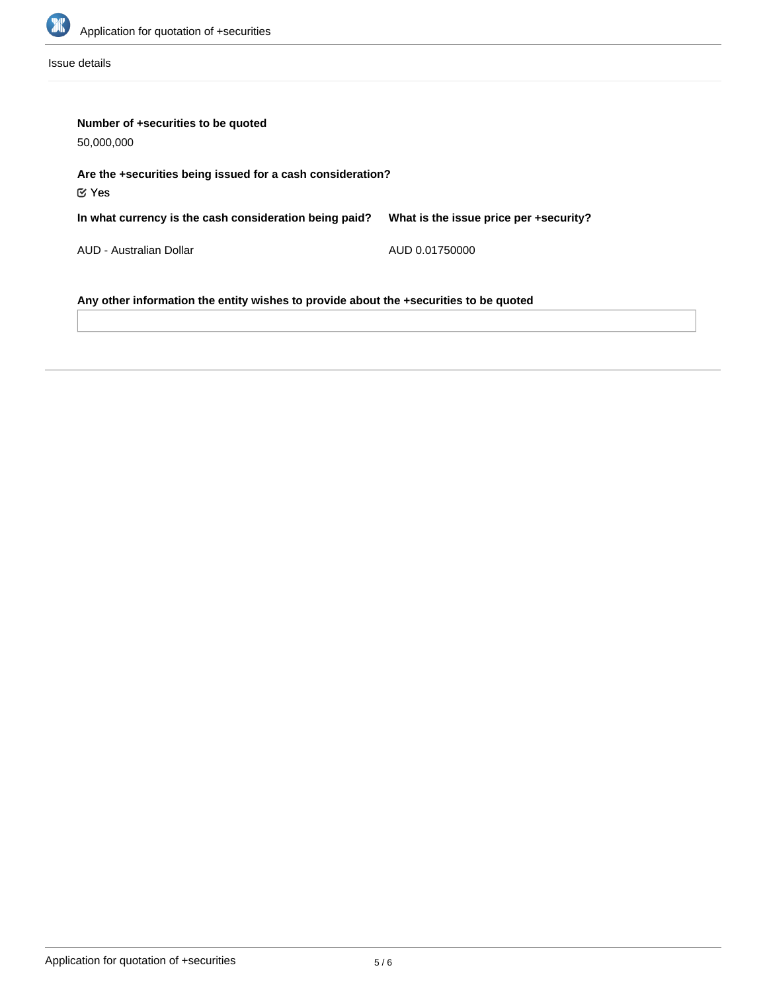

Issue details

| Number of +securities to be quoted<br>50,000,000                                      |                                        |  |  |  |  |
|---------------------------------------------------------------------------------------|----------------------------------------|--|--|--|--|
| Are the +securities being issued for a cash consideration?<br>$\mathfrak C$ Yes       |                                        |  |  |  |  |
| In what currency is the cash consideration being paid?                                | What is the issue price per +security? |  |  |  |  |
| AUD - Australian Dollar                                                               | AUD 0.01750000                         |  |  |  |  |
| Any other information the entity wishes to provide about the +securities to be quoted |                                        |  |  |  |  |